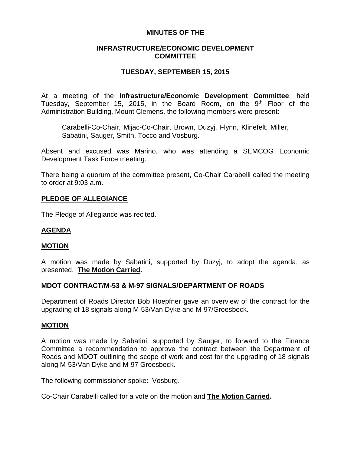# **MINUTES OF THE**

# **INFRASTRUCTURE/ECONOMIC DEVELOPMENT COMMITTEE**

# **TUESDAY, SEPTEMBER 15, 2015**

At a meeting of the **Infrastructure/Economic Development Committee**, held Tuesday, September 15, 2015, in the Board Room, on the  $9<sup>th</sup>$  Floor of the Administration Building, Mount Clemens, the following members were present:

Carabelli-Co-Chair, Mijac-Co-Chair, Brown, Duzyj, Flynn, Klinefelt, Miller, Sabatini, Sauger, Smith, Tocco and Vosburg.

Absent and excused was Marino, who was attending a SEMCOG Economic Development Task Force meeting.

There being a quorum of the committee present, Co-Chair Carabelli called the meeting to order at 9:03 a.m.

## **PLEDGE OF ALLEGIANCE**

The Pledge of Allegiance was recited.

## **AGENDA**

#### **MOTION**

A motion was made by Sabatini, supported by Duzyj, to adopt the agenda, as presented. **The Motion Carried.**

#### **MDOT CONTRACT/M-53 & M-97 SIGNALS/DEPARTMENT OF ROADS**

Department of Roads Director Bob Hoepfner gave an overview of the contract for the upgrading of 18 signals along M-53/Van Dyke and M-97/Groesbeck.

#### **MOTION**

A motion was made by Sabatini, supported by Sauger, to forward to the Finance Committee a recommendation to approve the contract between the Department of Roads and MDOT outlining the scope of work and cost for the upgrading of 18 signals along M-53/Van Dyke and M-97 Groesbeck.

The following commissioner spoke: Vosburg.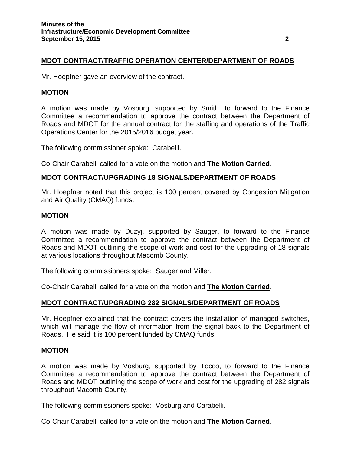## **MDOT CONTRACT/TRAFFIC OPERATION CENTER/DEPARTMENT OF ROADS**

Mr. Hoepfner gave an overview of the contract.

#### **MOTION**

A motion was made by Vosburg, supported by Smith, to forward to the Finance Committee a recommendation to approve the contract between the Department of Roads and MDOT for the annual contract for the staffing and operations of the Traffic Operations Center for the 2015/2016 budget year.

The following commissioner spoke: Carabelli.

Co-Chair Carabelli called for a vote on the motion and **The Motion Carried.**

#### **MDOT CONTRACT/UPGRADING 18 SIGNALS/DEPARTMENT OF ROADS**

Mr. Hoepfner noted that this project is 100 percent covered by Congestion Mitigation and Air Quality (CMAQ) funds.

#### **MOTION**

A motion was made by Duzyj, supported by Sauger, to forward to the Finance Committee a recommendation to approve the contract between the Department of Roads and MDOT outlining the scope of work and cost for the upgrading of 18 signals at various locations throughout Macomb County.

The following commissioners spoke: Sauger and Miller.

Co-Chair Carabelli called for a vote on the motion and **The Motion Carried.**

#### **MDOT CONTRACT/UPGRADING 282 SIGNALS/DEPARTMENT OF ROADS**

Mr. Hoepfner explained that the contract covers the installation of managed switches, which will manage the flow of information from the signal back to the Department of Roads. He said it is 100 percent funded by CMAQ funds.

### **MOTION**

A motion was made by Vosburg, supported by Tocco, to forward to the Finance Committee a recommendation to approve the contract between the Department of Roads and MDOT outlining the scope of work and cost for the upgrading of 282 signals throughout Macomb County.

The following commissioners spoke: Vosburg and Carabelli.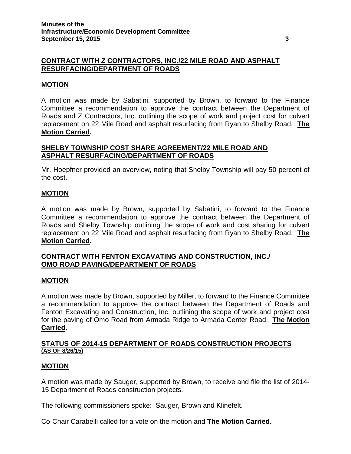# **CONTRACT WITH Z CONTRACTORS, INC./22 MILE ROAD AND ASPHALT RESURFACING/DEPARTMENT OF ROADS**

# **MOTION**

A motion was made by Sabatini, supported by Brown, to forward to the Finance Committee a recommendation to approve the contract between the Department of Roads and Z Contractors, Inc. outlining the scope of work and project cost for culvert replacement on 22 Mile Road and asphalt resurfacing from Ryan to Shelby Road. **The Motion Carried.**

# **SHELBY TOWNSHIP COST SHARE AGREEMENT/22 MILE ROAD AND ASPHALT RESURFACING/DEPARTMENT OF ROADS**

Mr. Hoepfner provided an overview, noting that Shelby Township will pay 50 percent of the cost.

# **MOTION**

A motion was made by Brown, supported by Sabatini, to forward to the Finance Committee a recommendation to approve the contract between the Department of Roads and Shelby Township outlining the scope of work and cost sharing for culvert replacement on 22 Mile Road and asphalt resurfacing from Ryan to Shelby Road. **The Motion Carried.**

# **CONTRACT WITH FENTON EXCAVATING AND CONSTRUCTION, INC./ OMO ROAD PAVING/DEPARTMENT OF ROADS**

## **MOTION**

A motion was made by Brown, supported by Miller, to forward to the Finance Committee a recommendation to approve the contract between the Department of Roads and Fenton Excavating and Construction, Inc. outlining the scope of work and project cost for the paving of Omo Road from Armada Ridge to Armada Center Road. **The Motion Carried.**

## **STATUS OF 2014-15 DEPARTMENT OF ROADS CONSTRUCTION PROJECTS (AS OF 8/26/15)**

## **MOTION**

A motion was made by Sauger, supported by Brown, to receive and file the list of 2014- 15 Department of Roads construction projects.

The following commissioners spoke: Sauger, Brown and Klinefelt.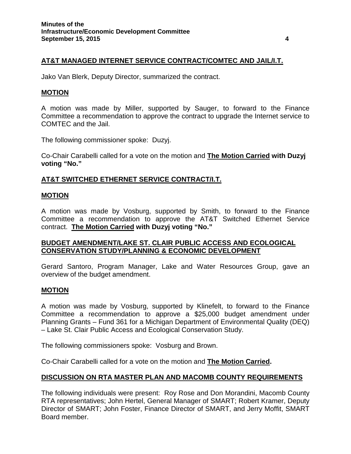# **AT&T MANAGED INTERNET SERVICE CONTRACT/COMTEC AND JAIL/I.T.**

Jako Van Blerk, Deputy Director, summarized the contract.

# **MOTION**

A motion was made by Miller, supported by Sauger, to forward to the Finance Committee a recommendation to approve the contract to upgrade the Internet service to COMTEC and the Jail.

The following commissioner spoke: Duzyj.

Co-Chair Carabelli called for a vote on the motion and **The Motion Carried with Duzyj voting "No."**

# **AT&T SWITCHED ETHERNET SERVICE CONTRACT/I.T.**

### **MOTION**

A motion was made by Vosburg, supported by Smith, to forward to the Finance Committee a recommendation to approve the AT&T Switched Ethernet Service contract. **The Motion Carried with Duzyj voting "No."**

# **BUDGET AMENDMENT/LAKE ST. CLAIR PUBLIC ACCESS AND ECOLOGICAL CONSERVATION STUDY/PLANNING & ECONOMIC DEVELOPMENT**

Gerard Santoro, Program Manager, Lake and Water Resources Group, gave an overview of the budget amendment.

## **MOTION**

A motion was made by Vosburg, supported by Klinefelt, to forward to the Finance Committee a recommendation to approve a \$25,000 budget amendment under Planning Grants – Fund 361 for a Michigan Department of Environmental Quality (DEQ) – Lake St. Clair Public Access and Ecological Conservation Study.

The following commissioners spoke: Vosburg and Brown.

Co-Chair Carabelli called for a vote on the motion and **The Motion Carried.**

# **DISCUSSION ON RTA MASTER PLAN AND MACOMB COUNTY REQUIREMENTS**

The following individuals were present: Roy Rose and Don Morandini, Macomb County RTA representatives; John Hertel, General Manager of SMART; Robert Kramer, Deputy Director of SMART; John Foster, Finance Director of SMART, and Jerry Moffit, SMART Board member.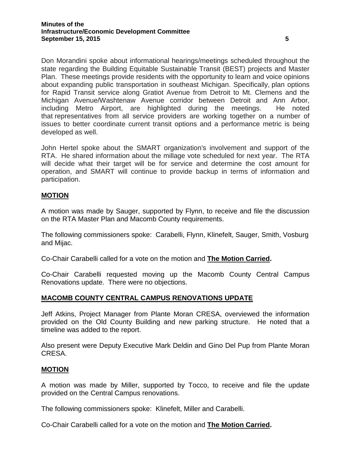Don Morandini spoke about informational hearings/meetings scheduled throughout the state regarding the Building Equitable Sustainable Transit (BEST) projects and Master Plan. These meetings provide residents with the opportunity to learn and voice opinions about expanding public transportation in southeast Michigan. Specifically, plan options for Rapid Transit service along Gratiot Avenue from Detroit to Mt. Clemens and the Michigan Avenue/Washtenaw Avenue corridor between Detroit and Ann Arbor, including Metro Airport, are highlighted during the meetings. He noted that representatives from all service providers are working together on a number of issues to better coordinate current transit options and a performance metric is being developed as well.

John Hertel spoke about the SMART organization's involvement and support of the RTA. He shared information about the millage vote scheduled for next year. The RTA will decide what their target will be for service and determine the cost amount for operation, and SMART will continue to provide backup in terms of information and participation.

# **MOTION**

A motion was made by Sauger, supported by Flynn, to receive and file the discussion on the RTA Master Plan and Macomb County requirements.

The following commissioners spoke: Carabelli, Flynn, Klinefelt, Sauger, Smith, Vosburg and Mijac.

Co-Chair Carabelli called for a vote on the motion and **The Motion Carried.**

Co-Chair Carabelli requested moving up the Macomb County Central Campus Renovations update. There were no objections.

# **MACOMB COUNTY CENTRAL CAMPUS RENOVATIONS UPDATE**

Jeff Atkins, Project Manager from Plante Moran CRESA, overviewed the information provided on the Old County Building and new parking structure. He noted that a timeline was added to the report.

Also present were Deputy Executive Mark Deldin and Gino Del Pup from Plante Moran CRESA.

## **MOTION**

A motion was made by Miller, supported by Tocco, to receive and file the update provided on the Central Campus renovations.

The following commissioners spoke: Klinefelt, Miller and Carabelli.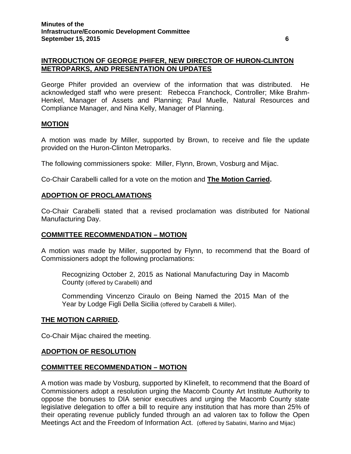# **INTRODUCTION OF GEORGE PHIFER, NEW DIRECTOR OF HURON-CLINTON METROPARKS, AND PRESENTATION ON UPDATES**

George Phifer provided an overview of the information that was distributed. He acknowledged staff who were present: Rebecca Franchock, Controller; Mike Brahm-Henkel, Manager of Assets and Planning; Paul Muelle, Natural Resources and Compliance Manager, and Nina Kelly, Manager of Planning.

## **MOTION**

A motion was made by Miller, supported by Brown, to receive and file the update provided on the Huron-Clinton Metroparks.

The following commissioners spoke: Miller, Flynn, Brown, Vosburg and Mijac.

Co-Chair Carabelli called for a vote on the motion and **The Motion Carried.**

## **ADOPTION OF PROCLAMATIONS**

Co-Chair Carabelli stated that a revised proclamation was distributed for National Manufacturing Day.

#### **COMMITTEE RECOMMENDATION – MOTION**

A motion was made by Miller, supported by Flynn, to recommend that the Board of Commissioners adopt the following proclamations:

Recognizing October 2, 2015 as National Manufacturing Day in Macomb County (offered by Carabelli) and

Commending Vincenzo Ciraulo on Being Named the 2015 Man of the Year by Lodge Figli Della Sicilia (offered by Carabelli & Miller).

#### **THE MOTION CARRIED.**

Co-Chair Mijac chaired the meeting.

## **ADOPTION OF RESOLUTION**

## **COMMITTEE RECOMMENDATION – MOTION**

A motion was made by Vosburg, supported by Klinefelt, to recommend that the Board of Commissioners adopt a resolution urging the Macomb County Art Institute Authority to oppose the bonuses to DIA senior executives and urging the Macomb County state legislative delegation to offer a bill to require any institution that has more than 25% of their operating revenue publicly funded through an ad valoren tax to follow the Open Meetings Act and the Freedom of Information Act. (offered by Sabatini, Marino and Mijac)